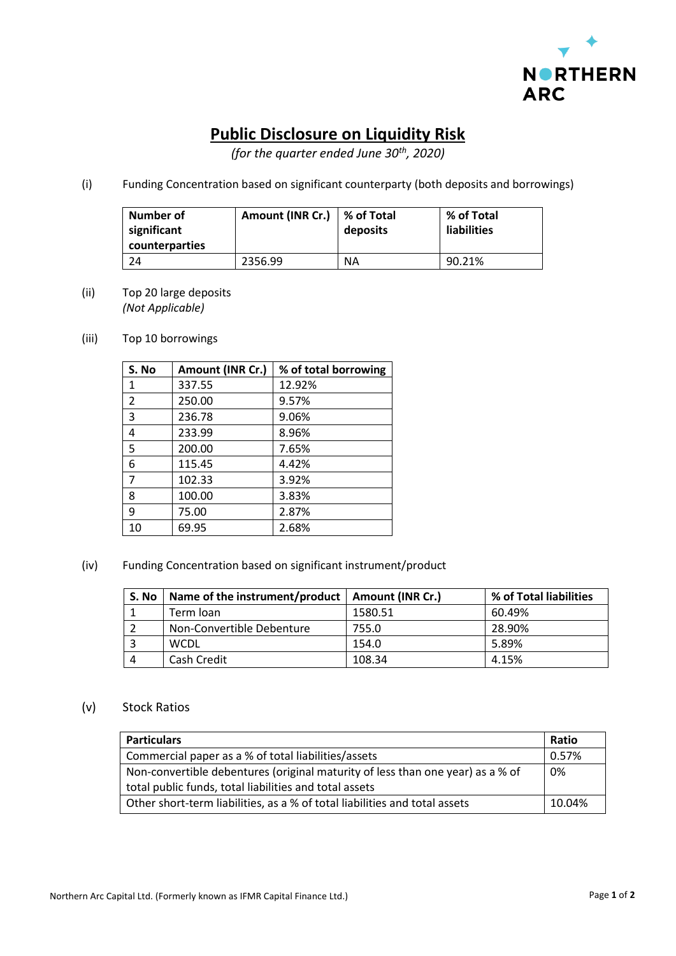

## **Public Disclosure on Liquidity Risk**

*(for the quarter ended June 30th, 2020)*

(i) Funding Concentration based on significant counterparty (both deposits and borrowings)

| Number of<br>significant<br>counterparties | Amount (INR Cr.)   % of Total | deposits  | % of Total<br><b>liabilities</b> |
|--------------------------------------------|-------------------------------|-----------|----------------------------------|
|                                            | 2356.99                       | <b>NA</b> | 90.21%                           |

- (ii) Top 20 large deposits *(Not Applicable)*
- (iii) Top 10 borrowings

| S. No | Amount (INR Cr.) | % of total borrowing |
|-------|------------------|----------------------|
| 1     | 337.55           | 12.92%               |
| 2     | 250.00           | 9.57%                |
| 3     | 236.78           | 9.06%                |
| 4     | 233.99           | 8.96%                |
| 5     | 200.00           | 7.65%                |
| 6     | 115.45           | 4.42%                |
| 7     | 102.33           | 3.92%                |
| 8     | 100.00           | 3.83%                |
| 9     | 75.00            | 2.87%                |
| 10    | 69.95            | 2.68%                |

(iv) Funding Concentration based on significant instrument/product

| S. No | Name of the instrument/product   Amount (INR Cr.) |         | % of Total liabilities |
|-------|---------------------------------------------------|---------|------------------------|
|       | Term Ioan                                         | 1580.51 | 60.49%                 |
|       | Non-Convertible Debenture                         | 755.0   | 28.90%                 |
|       | <b>WCDL</b>                                       | 154.0   | 5.89%                  |
|       | Cash Credit                                       | 108.34  | 4.15%                  |

## (v) Stock Ratios

| <b>Particulars</b>                                                             | <b>Ratio</b> |
|--------------------------------------------------------------------------------|--------------|
| Commercial paper as a % of total liabilities/assets                            | 0.57%        |
| Non-convertible debentures (original maturity of less than one year) as a % of | 0%           |
| total public funds, total liabilities and total assets                         |              |
| Other short-term liabilities, as a % of total liabilities and total assets     | 10.04%       |